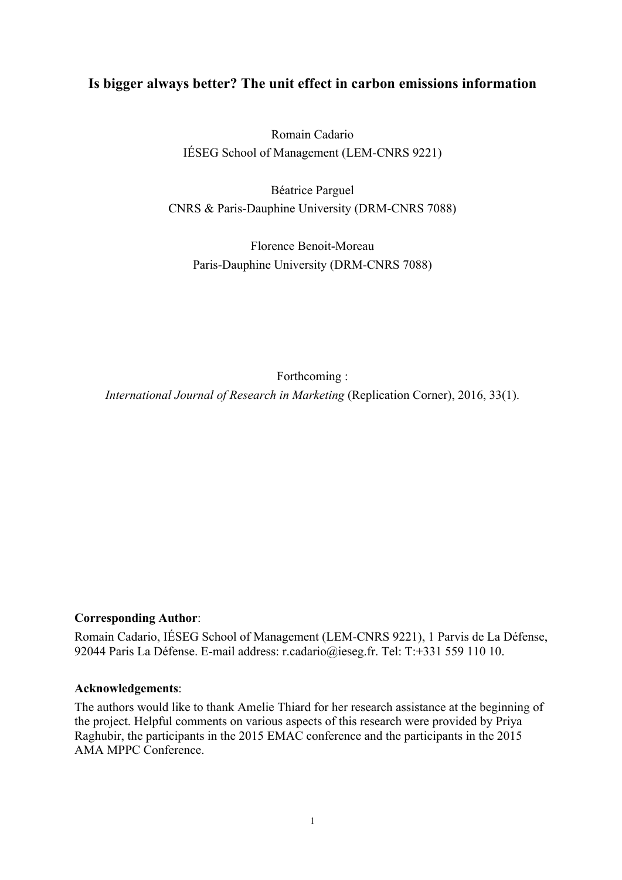# **Is bigger always better? The unit effect in carbon emissions information**

Romain Cadario IÉSEG School of Management (LEM-CNRS 9221)

Béatrice Parguel CNRS & Paris-Dauphine University (DRM-CNRS 7088)

Florence Benoit-Moreau Paris-Dauphine University (DRM-CNRS 7088)

Forthcoming :

*International Journal of Research in Marketing* (Replication Corner), 2016, 33(1).

### **Corresponding Author**:

Romain Cadario, IÉSEG School of Management (LEM-CNRS 9221), 1 Parvis de La Défense, 92044 Paris La Défense. E-mail address: r.cadario@ieseg.fr. Tel: T:+331 559 110 10.

#### **Acknowledgements**:

The authors would like to thank Amelie Thiard for her research assistance at the beginning of the project. Helpful comments on various aspects of this research were provided by Priya Raghubir, the participants in the 2015 EMAC conference and the participants in the 2015 AMA MPPC Conference.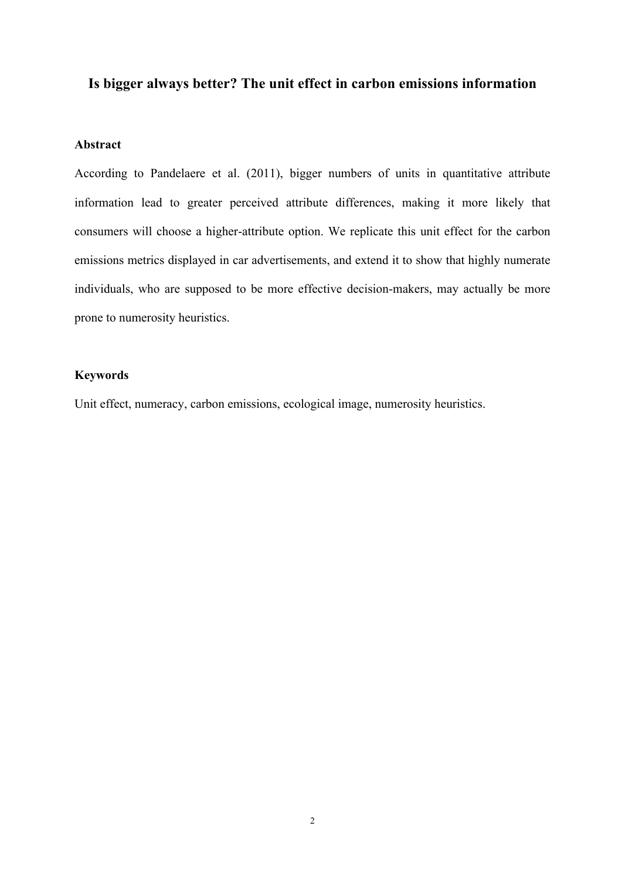# **Is bigger always better? The unit effect in carbon emissions information**

# **Abstract**

According to Pandelaere et al. (2011), bigger numbers of units in quantitative attribute information lead to greater perceived attribute differences, making it more likely that consumers will choose a higher-attribute option. We replicate this unit effect for the carbon emissions metrics displayed in car advertisements, and extend it to show that highly numerate individuals, who are supposed to be more effective decision-makers, may actually be more prone to numerosity heuristics.

## **Keywords**

Unit effect, numeracy, carbon emissions, ecological image, numerosity heuristics.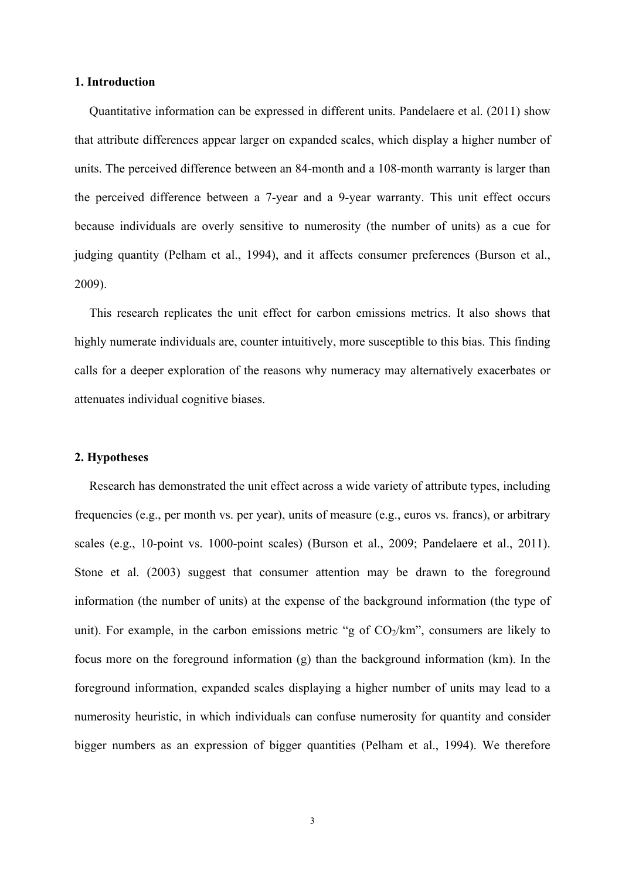#### **1. Introduction**

Quantitative information can be expressed in different units. Pandelaere et al. (2011) show that attribute differences appear larger on expanded scales, which display a higher number of units. The perceived difference between an 84-month and a 108-month warranty is larger than the perceived difference between a 7-year and a 9-year warranty. This unit effect occurs because individuals are overly sensitive to numerosity (the number of units) as a cue for judging quantity (Pelham et al., 1994), and it affects consumer preferences (Burson et al., 2009).

This research replicates the unit effect for carbon emissions metrics. It also shows that highly numerate individuals are, counter intuitively, more susceptible to this bias. This finding calls for a deeper exploration of the reasons why numeracy may alternatively exacerbates or attenuates individual cognitive biases.

#### **2. Hypotheses**

Research has demonstrated the unit effect across a wide variety of attribute types, including frequencies (e.g., per month vs. per year), units of measure (e.g., euros vs. francs), or arbitrary scales (e.g., 10-point vs. 1000-point scales) (Burson et al., 2009; Pandelaere et al., 2011). Stone et al. (2003) suggest that consumer attention may be drawn to the foreground information (the number of units) at the expense of the background information (the type of unit). For example, in the carbon emissions metric "g of  $CO<sub>2</sub>/km$ ", consumers are likely to focus more on the foreground information (g) than the background information (km). In the foreground information, expanded scales displaying a higher number of units may lead to a numerosity heuristic, in which individuals can confuse numerosity for quantity and consider bigger numbers as an expression of bigger quantities (Pelham et al., 1994). We therefore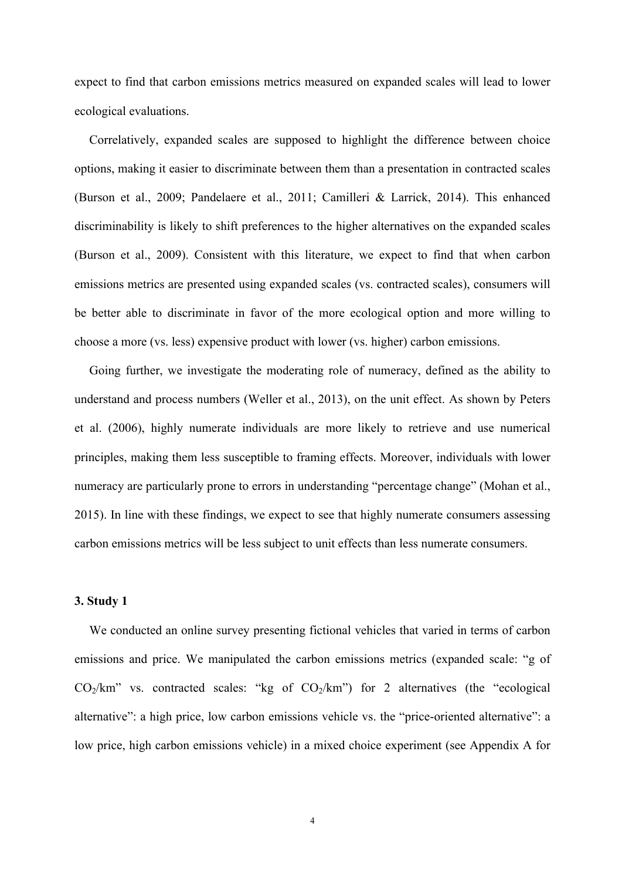expect to find that carbon emissions metrics measured on expanded scales will lead to lower ecological evaluations.

Correlatively, expanded scales are supposed to highlight the difference between choice options, making it easier to discriminate between them than a presentation in contracted scales (Burson et al., 2009; Pandelaere et al., 2011; Camilleri & Larrick, 2014). This enhanced discriminability is likely to shift preferences to the higher alternatives on the expanded scales (Burson et al., 2009). Consistent with this literature, we expect to find that when carbon emissions metrics are presented using expanded scales (vs. contracted scales), consumers will be better able to discriminate in favor of the more ecological option and more willing to choose a more (vs. less) expensive product with lower (vs. higher) carbon emissions.

Going further, we investigate the moderating role of numeracy, defined as the ability to understand and process numbers (Weller et al., 2013), on the unit effect. As shown by Peters et al. (2006), highly numerate individuals are more likely to retrieve and use numerical principles, making them less susceptible to framing effects. Moreover, individuals with lower numeracy are particularly prone to errors in understanding "percentage change" (Mohan et al., 2015). In line with these findings, we expect to see that highly numerate consumers assessing carbon emissions metrics will be less subject to unit effects than less numerate consumers.

### **3. Study 1**

We conducted an online survey presenting fictional vehicles that varied in terms of carbon emissions and price. We manipulated the carbon emissions metrics (expanded scale: "g of  $CO<sub>2</sub>/km$ " vs. contracted scales: "kg of  $CO<sub>2</sub>/km$ ") for 2 alternatives (the "ecological alternative": a high price, low carbon emissions vehicle vs. the "price-oriented alternative": a low price, high carbon emissions vehicle) in a mixed choice experiment (see Appendix A for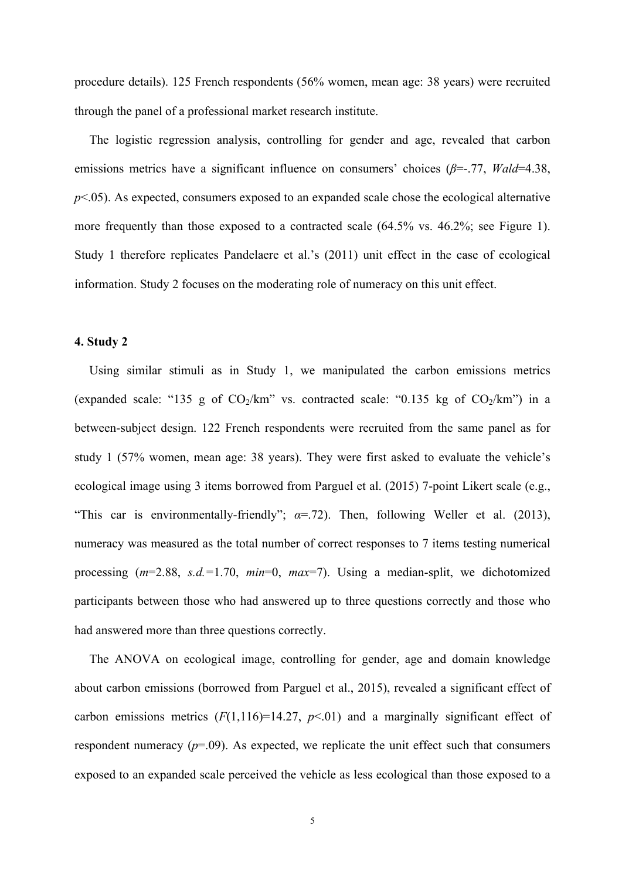procedure details). 125 French respondents (56% women, mean age: 38 years) were recruited through the panel of a professional market research institute.

The logistic regression analysis, controlling for gender and age, revealed that carbon emissions metrics have a significant influence on consumers' choices (*β*=-.77, *Wald*=4.38,  $p$ <.05). As expected, consumers exposed to an expanded scale chose the ecological alternative more frequently than those exposed to a contracted scale (64.5% vs. 46.2%; see Figure 1). Study 1 therefore replicates Pandelaere et al.'s (2011) unit effect in the case of ecological information. Study 2 focuses on the moderating role of numeracy on this unit effect.

## **4. Study 2**

Using similar stimuli as in Study 1, we manipulated the carbon emissions metrics (expanded scale: "135 g of  $CO<sub>2</sub>/km$ " vs. contracted scale: "0.135 kg of  $CO<sub>2</sub>/km$ ") in a between-subject design. 122 French respondents were recruited from the same panel as for study 1 (57% women, mean age: 38 years). They were first asked to evaluate the vehicle's ecological image using 3 items borrowed from Parguel et al. (2015) 7-point Likert scale (e.g., "This car is environmentally-friendly";  $\alpha$ =.72). Then, following Weller et al. (2013), numeracy was measured as the total number of correct responses to 7 items testing numerical processing (*m*=2.88, *s.d.=*1.70, *min*=0, *max*=7). Using a median-split, we dichotomized participants between those who had answered up to three questions correctly and those who had answered more than three questions correctly.

The ANOVA on ecological image, controlling for gender, age and domain knowledge about carbon emissions (borrowed from Parguel et al., 2015), revealed a significant effect of carbon emissions metrics  $(F(1,116)=14.27, p<0.1)$  and a marginally significant effect of respondent numeracy  $(p=0.09)$ . As expected, we replicate the unit effect such that consumers exposed to an expanded scale perceived the vehicle as less ecological than those exposed to a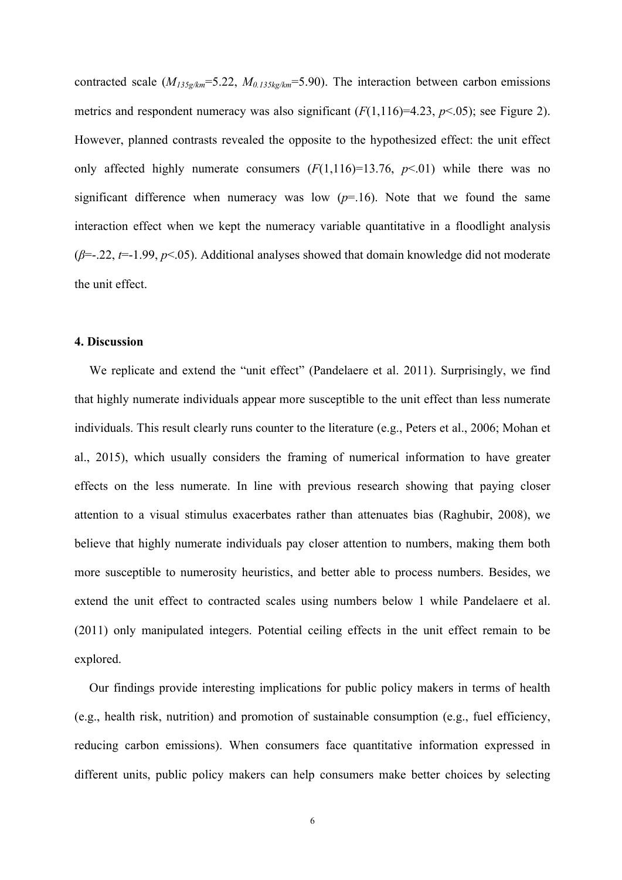contracted scale (*M135g/km*=5.22, *M0.135kg/km*=5.90). The interaction between carbon emissions metrics and respondent numeracy was also significant  $(F(1,116)=4.23, p<0.05)$ ; see Figure 2). However, planned contrasts revealed the opposite to the hypothesized effect: the unit effect only affected highly numerate consumers  $(F(1,116)=13.76, p<0.01)$  while there was no significant difference when numeracy was low  $(p=16)$ . Note that we found the same interaction effect when we kept the numeracy variable quantitative in a floodlight analysis (*β*=-.22, *t*=-1.99, *p*<.05). Additional analyses showed that domain knowledge did not moderate the unit effect.

## **4. Discussion**

We replicate and extend the "unit effect" (Pandelaere et al. 2011). Surprisingly, we find that highly numerate individuals appear more susceptible to the unit effect than less numerate individuals. This result clearly runs counter to the literature (e.g., Peters et al., 2006; Mohan et al., 2015), which usually considers the framing of numerical information to have greater effects on the less numerate. In line with previous research showing that paying closer attention to a visual stimulus exacerbates rather than attenuates bias (Raghubir, 2008), we believe that highly numerate individuals pay closer attention to numbers, making them both more susceptible to numerosity heuristics, and better able to process numbers. Besides, we extend the unit effect to contracted scales using numbers below 1 while Pandelaere et al. (2011) only manipulated integers. Potential ceiling effects in the unit effect remain to be explored.

Our findings provide interesting implications for public policy makers in terms of health (e.g., health risk, nutrition) and promotion of sustainable consumption (e.g., fuel efficiency, reducing carbon emissions). When consumers face quantitative information expressed in different units, public policy makers can help consumers make better choices by selecting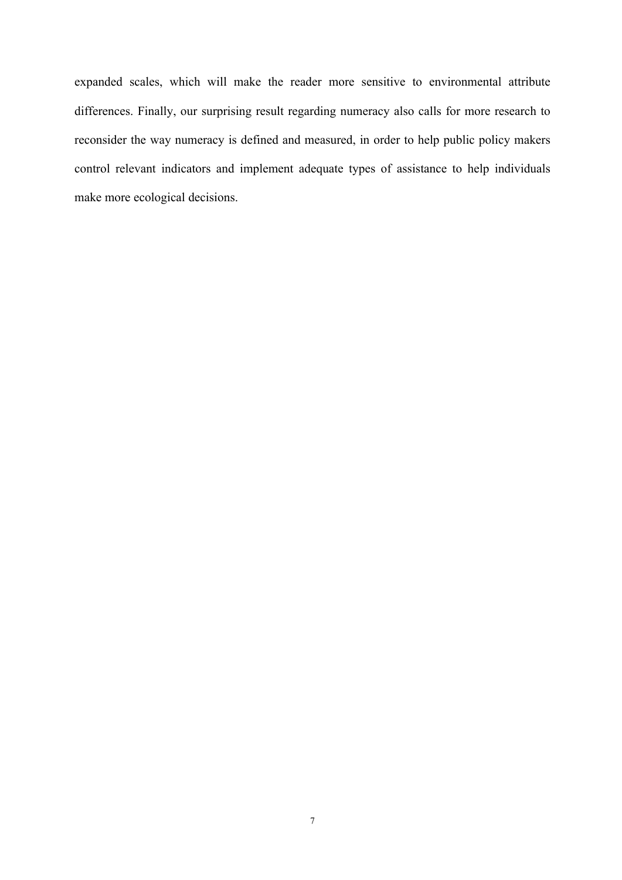expanded scales, which will make the reader more sensitive to environmental attribute differences. Finally, our surprising result regarding numeracy also calls for more research to reconsider the way numeracy is defined and measured, in order to help public policy makers control relevant indicators and implement adequate types of assistance to help individuals make more ecological decisions.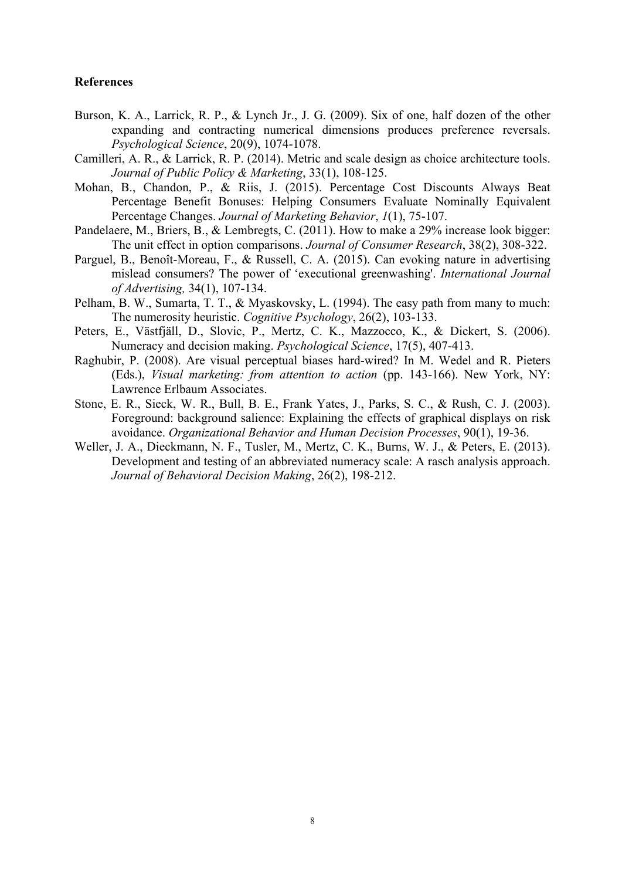#### **References**

- Burson, K. A., Larrick, R. P., & Lynch Jr., J. G. (2009). Six of one, half dozen of the other expanding and contracting numerical dimensions produces preference reversals. *Psychological Science*, 20(9), 1074-1078.
- Camilleri, A. R., & Larrick, R. P. (2014). Metric and scale design as choice architecture tools. *Journal of Public Policy & Marketing*, 33(1), 108-125.
- Mohan, B., Chandon, P., & Riis, J. (2015). Percentage Cost Discounts Always Beat Percentage Benefit Bonuses: Helping Consumers Evaluate Nominally Equivalent Percentage Changes. *Journal of Marketing Behavior*, *1*(1), 75-107.
- Pandelaere, M., Briers, B., & Lembregts, C. (2011). How to make a 29% increase look bigger: The unit effect in option comparisons. *Journal of Consumer Research*, 38(2), 308-322.
- Parguel, B., Benoît-Moreau, F., & Russell, C. A. (2015). Can evoking nature in advertising mislead consumers? The power of 'executional greenwashing'. *International Journal of Advertising,* 34(1), 107-134.
- Pelham, B. W., Sumarta, T. T., & Myaskovsky, L. (1994). The easy path from many to much: The numerosity heuristic. *Cognitive Psychology*, 26(2), 103-133.
- Peters, E., Västfjäll, D., Slovic, P., Mertz, C. K., Mazzocco, K., & Dickert, S. (2006). Numeracy and decision making. *Psychological Science*, 17(5), 407-413.
- Raghubir, P. (2008). Are visual perceptual biases hard-wired? In M. Wedel and R. Pieters (Eds.), *Visual marketing: from attention to action* (pp. 143-166). New York, NY: Lawrence Erlbaum Associates.
- Stone, E. R., Sieck, W. R., Bull, B. E., Frank Yates, J., Parks, S. C., & Rush, C. J. (2003). Foreground: background salience: Explaining the effects of graphical displays on risk avoidance. *Organizational Behavior and Human Decision Processes*, 90(1), 19-36.
- Weller, J. A., Dieckmann, N. F., Tusler, M., Mertz, C. K., Burns, W. J., & Peters, E. (2013). Development and testing of an abbreviated numeracy scale: A rasch analysis approach. *Journal of Behavioral Decision Making*, 26(2), 198-212.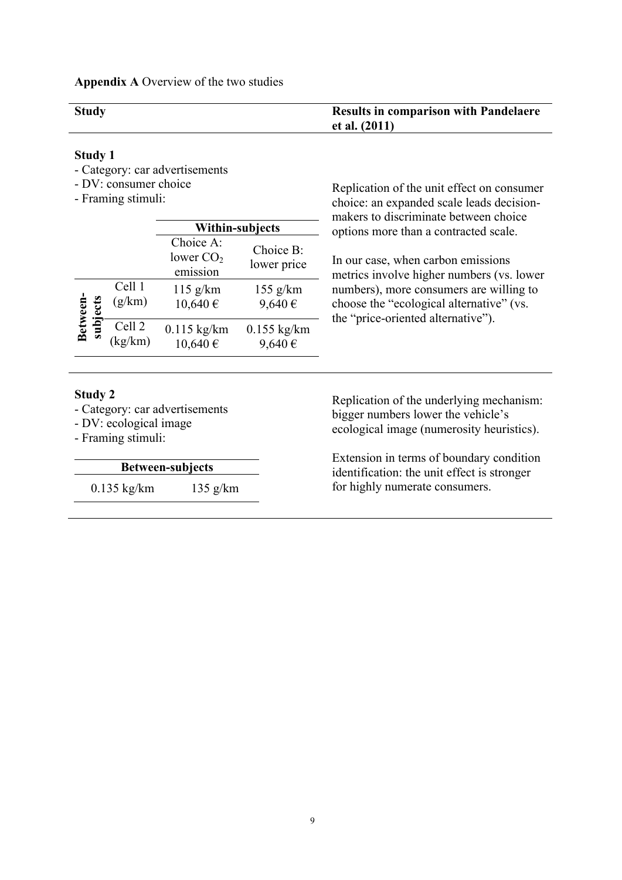## **Appendix A** Overview of the two studies

| <b>Study</b> | <b>Results in comparison with Pandelaere</b> |
|--------------|----------------------------------------------|
|              | et al. $(2011)$                              |

## **Study 1**

- Category: car advertisements
- DV: consumer choice
- Framing stimuli:

|                      |                   | <b>Within-subjects</b>               |                          | makers to discriminate between choice<br>options more than a contracted scale.                                            |
|----------------------|-------------------|--------------------------------------|--------------------------|---------------------------------------------------------------------------------------------------------------------------|
|                      |                   | Choice A:<br>lower $CO2$<br>emission | Choice B:<br>lower price | In our case, when carbon emissions<br>metrics involve higher numbers (vs. lower                                           |
| Between-<br>subjects | Cell 1<br>(g/km)  | $115$ g/km<br>$10,640 \in$           | $155$ g/km<br>9,640€     | numbers), more consumers are willing to<br>choose the "ecological alternative" (vs.<br>the "price-oriented alternative"). |
|                      | Cell 2<br>(kg/km) | $0.115$ kg/km<br>$10,640 \in$        | $0.155$ kg/km<br>9,640€  |                                                                                                                           |
|                      |                   |                                      |                          |                                                                                                                           |

#### **Study 2**

- Category: car advertisements

- DV: ecological image
- Framing stimuli:

## **Between-subjects**

0.135 kg/km 135 g/km

Replication of the unit effect on consumer choice: an expanded scale leads decisionmakers to discriminate between choice

Replication of the underlying mechanism: bigger numbers lower the vehicle's ecological image (numerosity heuristics).

Extension in terms of boundary condition identification: the unit effect is stronger for highly numerate consumers.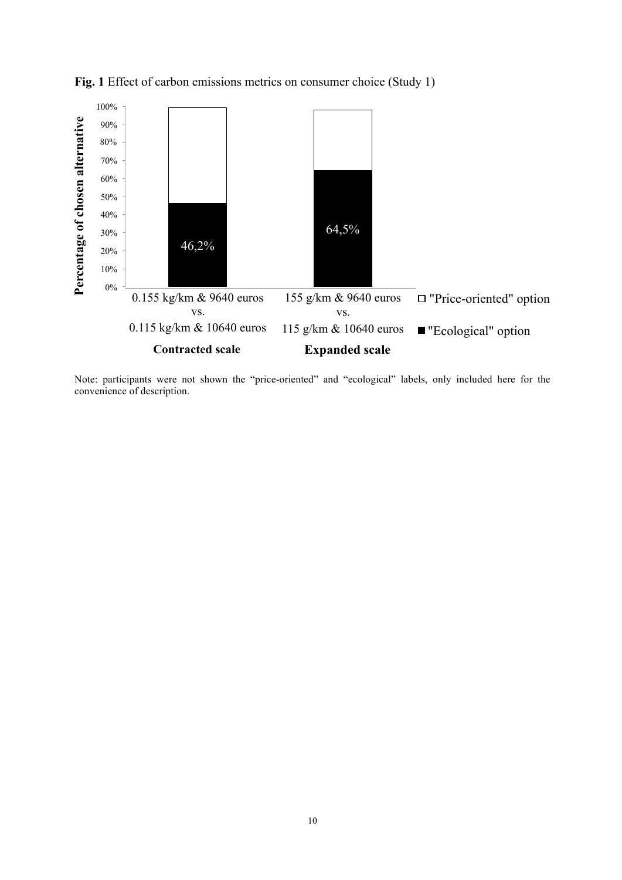

**Fig. 1** Effect of carbon emissions metrics on consumer choice (Study 1)

Note: participants were not shown the "price-oriented" and "ecological" labels, only included here for the convenience of description.